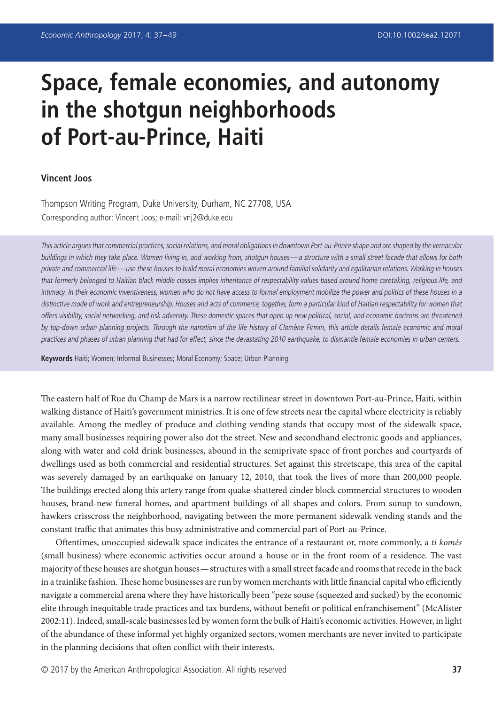# **Space, female economies, and autonomy in the shotgun neighborhoods of Port-au-Prince, Haiti**

## **Vincent Joos**

Thompson Writing Program, Duke University, Durham, NC 27708, USA Corresponding author: Vincent Joos; e-mail: vnj2@duke.edu

This article argues that commercial practices, social relations, and moral obligations in downtown Port-au-Prince shape and are shaped by the vernacular buildings in which they take place. Women living in, and working from, shotgun houses—a structure with <sup>a</sup> small street facade that allows for both private and commercial life—use these houses to build moral economies woven around familial solidarity and egalitarian relations. Working in houses that formerly belonged to Haitian black middle classes implies inheritance of respectability values based around home caretaking, religious life, and intimacy. In their economic inventiveness, women who do not have access to formal employment mobilize the power and politics of these houses in <sup>a</sup> distinctive mode of work and entrepreneurship. Houses and acts of commerce, together, form <sup>a</sup> particular kind of Haitian respectability for women that offers visibility, social networking, and risk adversity. These domestic spaces that open up new political, social, and economic horizons are threatened by top-down urban planning projects. Through the narration of the life history of Clomène Firmin, this article details female economic and moral practices and phases of urban planning that had for effect, since the devastating 2010 earthquake, to dismantle female economies in urban centers.

**Keywords** Haiti; Women; Informal Businesses; Moral Economy; Space; Urban Planning

The eastern half of Rue du Champ de Mars is a narrow rectilinear street in downtown Port-au-Prince, Haiti, within walking distance of Haiti's government ministries. It is one of few streets near the capital where electricity is reliably available. Among the medley of produce and clothing vending stands that occupy most of the sidewalk space, many small businesses requiring power also dot the street. New and secondhand electronic goods and appliances, along with water and cold drink businesses, abound in the semiprivate space of front porches and courtyards of dwellings used as both commercial and residential structures. Set against this streetscape, this area of the capital was severely damaged by an earthquake on January 12, 2010, that took the lives of more than 200,000 people. The buildings erected along this artery range from quake-shattered cinder block commercial structures to wooden houses, brand-new funeral homes, and apartment buildings of all shapes and colors. From sunup to sundown, hawkers crisscross the neighborhood, navigating between the more permanent sidewalk vending stands and the constant traffic that animates this busy administrative and commercial part of Port-au-Prince.

Oftentimes, unoccupied sidewalk space indicates the entrance of a restaurant or, more commonly, a *ti komès* (small business) where economic activities occur around a house or in the front room of a residence. The vast majority of these houses are shotgun houses— structures with a small street facade and rooms that recede in the back in a trainlike fashion.These home businesses are run by women merchants with little financial capital who efficiently navigate a commercial arena where they have historically been "peze souse (squeezed and sucked) by the economic elite through inequitable trade practices and tax burdens, without benefit or political enfranchisement" (McAlister 2002:11). Indeed, small-scale businesses led by women form the bulk of Haiti's economic activities. However, in light of the abundance of these informal yet highly organized sectors, women merchants are never invited to participate in the planning decisions that often conflict with their interests.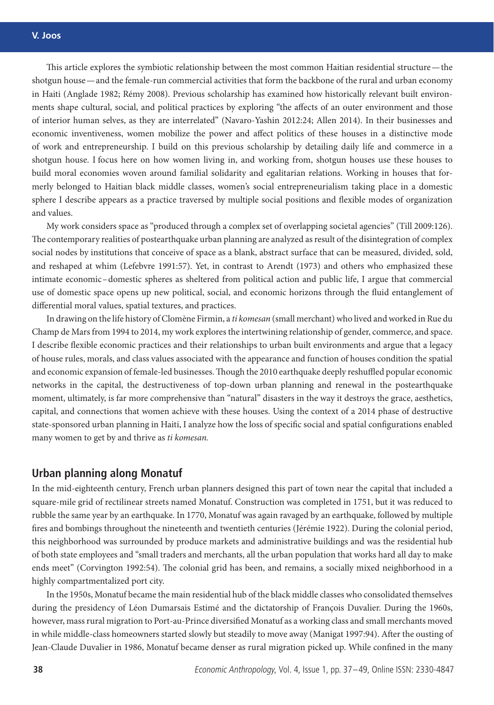This article explores the symbiotic relationship between the most common Haitian residential structure— the shotgun house—and the female-run commercial activities that form the backbone of the rural and urban economy in Haiti (Anglade 1982; Rémy 2008). Previous scholarship has examined how historically relevant built environments shape cultural, social, and political practices by exploring "the affects of an outer environment and those of interior human selves, as they are interrelated" (Navaro-Yashin 2012:24; Allen 2014). In their businesses and economic inventiveness, women mobilize the power and affect politics of these houses in a distinctive mode of work and entrepreneurship. I build on this previous scholarship by detailing daily life and commerce in a shotgun house. I focus here on how women living in, and working from, shotgun houses use these houses to build moral economies woven around familial solidarity and egalitarian relations. Working in houses that formerly belonged to Haitian black middle classes, women's social entrepreneurialism taking place in a domestic sphere I describe appears as a practice traversed by multiple social positions and flexible modes of organization and values.

My work considers space as "produced through a complex set of overlapping societal agencies" (Till 2009:126). The contemporary realities of postearthquake urban planning are analyzed as result of the disintegration of complex social nodes by institutions that conceive of space as a blank, abstract surface that can be measured, divided, sold, and reshaped at whim (Lefebvre 1991:57). Yet, in contrast to Arendt (1973) and others who emphasized these intimate economic–domestic spheres as sheltered from political action and public life, I argue that commercial use of domestic space opens up new political, social, and economic horizons through the fluid entanglement of differential moral values, spatial textures, and practices.

In drawing on the life history of Clomène Firmin, a *ti komesan* (small merchant) who lived and worked in Rue du Champ de Mars from 1994 to 2014, my work explores the intertwining relationship of gender, commerce, and space. I describe flexible economic practices and their relationships to urban built environments and argue that a legacy of house rules, morals, and class values associated with the appearance and function of houses condition the spatial and economic expansion of female-led businesses.Though the 2010 earthquake deeply reshuffled popular economic networks in the capital, the destructiveness of top-down urban planning and renewal in the postearthquake moment, ultimately, is far more comprehensive than "natural" disasters in the way it destroys the grace, aesthetics, capital, and connections that women achieve with these houses. Using the context of a 2014 phase of destructive state-sponsored urban planning in Haiti, I analyze how the loss of specific social and spatial configurations enabled many women to get by and thrive as *ti komesan.*

# **Urban planning along Monatuf**

In the mid-eighteenth century, French urban planners designed this part of town near the capital that included a square-mile grid of rectilinear streets named Monatuf. Construction was completed in 1751, but it was reduced to rubble the same year by an earthquake. In 1770, Monatuf was again ravaged by an earthquake, followed by multiple fires and bombings throughout the nineteenth and twentieth centuries (Jérémie 1922). During the colonial period, this neighborhood was surrounded by produce markets and administrative buildings and was the residential hub of both state employees and "small traders and merchants, all the urban population that works hard all day to make ends meet" (Corvington 1992:54). The colonial grid has been, and remains, a socially mixed neighborhood in a highly compartmentalized port city.

In the 1950s, Monatuf became the main residential hub of the black middle classes who consolidated themselves during the presidency of Léon Dumarsais Estimé and the dictatorship of François Duvalier. During the 1960s, however, mass rural migration to Port-au-Prince diversified Monatuf as a working class and small merchants moved in while middle-class homeowners started slowly but steadily to move away (Manigat 1997:94). After the ousting of Jean-Claude Duvalier in 1986, Monatuf became denser as rural migration picked up. While confined in the many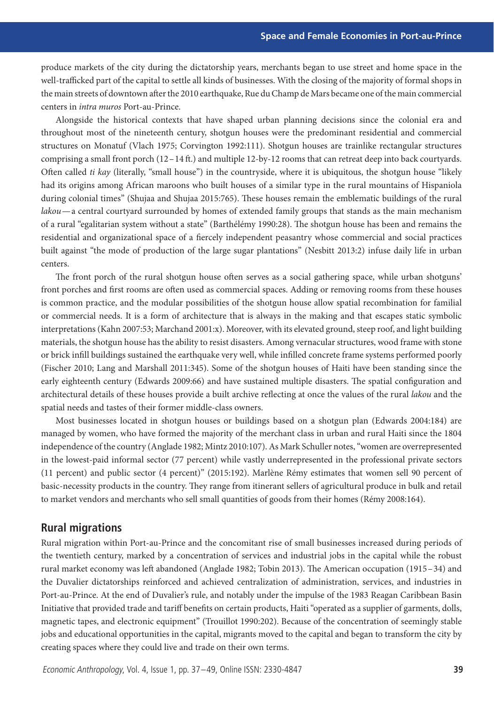produce markets of the city during the dictatorship years, merchants began to use street and home space in the well-trafficked part of the capital to settle all kinds of businesses. With the closing of the majority of formal shops in the main streets of downtown after the 2010 earthquake, Rue du Champ de Mars became one of the main commercial centers in *intra muros* Port-au-Prince.

Alongside the historical contexts that have shaped urban planning decisions since the colonial era and throughout most of the nineteenth century, shotgun houses were the predominant residential and commercial structures on Monatuf (Vlach 1975; Corvington 1992:111). Shotgun houses are trainlike rectangular structures comprising a small front porch (12–14 ft.) and multiple 12-by-12 rooms that can retreat deep into back courtyards. Often called *ti kay* (literally, "small house") in the countryside, where it is ubiquitous, the shotgun house "likely had its origins among African maroons who built houses of a similar type in the rural mountains of Hispaniola during colonial times" (Shujaa and Shujaa 2015:765). These houses remain the emblematic buildings of the rural *lakou*—a central courtyard surrounded by homes of extended family groups that stands as the main mechanism of a rural "egalitarian system without a state" (Barthélémy 1990:28). The shotgun house has been and remains the residential and organizational space of a fiercely independent peasantry whose commercial and social practices built against "the mode of production of the large sugar plantations" (Nesbitt 2013:2) infuse daily life in urban centers.

The front porch of the rural shotgun house often serves as a social gathering space, while urban shotguns' front porches and first rooms are often used as commercial spaces. Adding or removing rooms from these houses is common practice, and the modular possibilities of the shotgun house allow spatial recombination for familial or commercial needs. It is a form of architecture that is always in the making and that escapes static symbolic interpretations (Kahn 2007:53; Marchand 2001:x). Moreover, with its elevated ground, steep roof, and light building materials, the shotgun house has the ability to resist disasters. Among vernacular structures, wood frame with stone or brick infill buildings sustained the earthquake very well, while infilled concrete frame systems performed poorly (Fischer 2010; Lang and Marshall 2011:345). Some of the shotgun houses of Haiti have been standing since the early eighteenth century (Edwards 2009:66) and have sustained multiple disasters. The spatial configuration and architectural details of these houses provide a built archive reflecting at once the values of the rural *lakou* and the spatial needs and tastes of their former middle-class owners.

Most businesses located in shotgun houses or buildings based on a shotgun plan (Edwards 2004:184) are managed by women, who have formed the majority of the merchant class in urban and rural Haiti since the 1804 independence of the country (Anglade 1982; Mintz 2010:107). As Mark Schuller notes, "women are overrepresented in the lowest-paid informal sector (77 percent) while vastly underrepresented in the professional private sectors (11 percent) and public sector (4 percent)" (2015:192). Marlène Rémy estimates that women sell 90 percent of basic-necessity products in the country. They range from itinerant sellers of agricultural produce in bulk and retail to market vendors and merchants who sell small quantities of goods from their homes (Rémy 2008:164).

# **Rural migrations**

Rural migration within Port-au-Prince and the concomitant rise of small businesses increased during periods of the twentieth century, marked by a concentration of services and industrial jobs in the capital while the robust rural market economy was left abandoned (Anglade 1982; Tobin 2013). The American occupation (1915–34) and the Duvalier dictatorships reinforced and achieved centralization of administration, services, and industries in Port-au-Prince. At the end of Duvalier's rule, and notably under the impulse of the 1983 Reagan Caribbean Basin Initiative that provided trade and tariff benefits on certain products, Haiti "operated as a supplier of garments, dolls, magnetic tapes, and electronic equipment" (Trouillot 1990:202). Because of the concentration of seemingly stable jobs and educational opportunities in the capital, migrants moved to the capital and began to transform the city by creating spaces where they could live and trade on their own terms.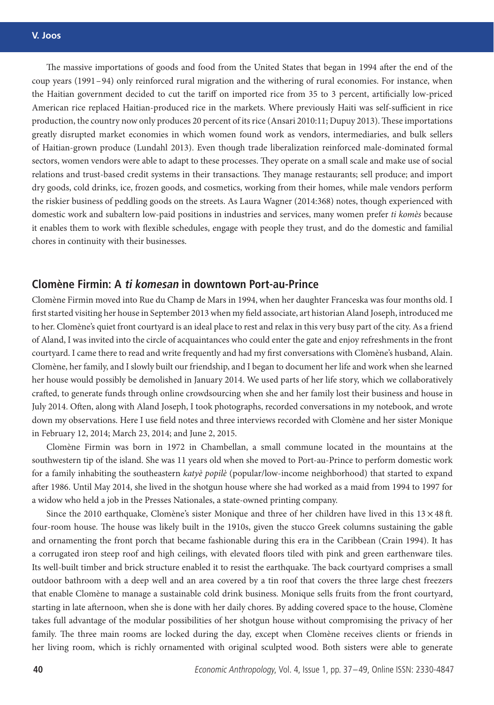The massive importations of goods and food from the United States that began in 1994 after the end of the coup years (1991–94) only reinforced rural migration and the withering of rural economies. For instance, when the Haitian government decided to cut the tariff on imported rice from 35 to 3 percent, artificially low-priced American rice replaced Haitian-produced rice in the markets. Where previously Haiti was self-sufficient in rice production, the country now only produces 20 percent of its rice (Ansari 2010:11; Dupuy 2013). These importations greatly disrupted market economies in which women found work as vendors, intermediaries, and bulk sellers of Haitian-grown produce (Lundahl 2013). Even though trade liberalization reinforced male-dominated formal sectors, women vendors were able to adapt to these processes. They operate on a small scale and make use of social relations and trust-based credit systems in their transactions. They manage restaurants; sell produce; and import dry goods, cold drinks, ice, frozen goods, and cosmetics, working from their homes, while male vendors perform the riskier business of peddling goods on the streets. As Laura Wagner (2014:368) notes, though experienced with domestic work and subaltern low-paid positions in industries and services, many women prefer *ti komès* because it enables them to work with flexible schedules, engage with people they trust, and do the domestic and familial chores in continuity with their businesses.

# **Clomène Firmin: A ti komesan in downtown Port-au-Prince**

Clomène Firmin moved into Rue du Champ de Mars in 1994, when her daughter Franceska was four months old. I first started visiting her house in September 2013 when my field associate, art historian Aland Joseph, introduced me to her. Clomène's quiet front courtyard is an ideal place to rest and relax in this very busy part of the city. As a friend of Aland, I was invited into the circle of acquaintances who could enter the gate and enjoy refreshments in the front courtyard. I came there to read and write frequently and had my first conversations with Clomène's husband, Alain. Clomène, her family, and I slowly built our friendship, and I began to document her life and work when she learned her house would possibly be demolished in January 2014. We used parts of her life story, which we collaboratively crafted, to generate funds through online crowdsourcing when she and her family lost their business and house in July 2014. Often, along with Aland Joseph, I took photographs, recorded conversations in my notebook, and wrote down my observations. Here I use field notes and three interviews recorded with Clomène and her sister Monique in February 12, 2014; March 23, 2014; and June 2, 2015.

Clomène Firmin was born in 1972 in Chambellan, a small commune located in the mountains at the southwestern tip of the island. She was 11 years old when she moved to Port-au-Prince to perform domestic work for a family inhabiting the southeastern *katyè popilè* (popular/low-income neighborhood) that started to expand after 1986. Until May 2014, she lived in the shotgun house where she had worked as a maid from 1994 to 1997 for a widow who held a job in the Presses Nationales, a state-owned printing company.

Since the 2010 earthquake, Clomène's sister Monique and three of her children have lived in this  $13 \times 48$  ft. four-room house. The house was likely built in the 1910s, given the stucco Greek columns sustaining the gable and ornamenting the front porch that became fashionable during this era in the Caribbean (Crain 1994). It has a corrugated iron steep roof and high ceilings, with elevated floors tiled with pink and green earthenware tiles. Its well-built timber and brick structure enabled it to resist the earthquake. The back courtyard comprises a small outdoor bathroom with a deep well and an area covered by a tin roof that covers the three large chest freezers that enable Clomène to manage a sustainable cold drink business. Monique sells fruits from the front courtyard, starting in late afternoon, when she is done with her daily chores. By adding covered space to the house, Clomène takes full advantage of the modular possibilities of her shotgun house without compromising the privacy of her family. The three main rooms are locked during the day, except when Clomène receives clients or friends in her living room, which is richly ornamented with original sculpted wood. Both sisters were able to generate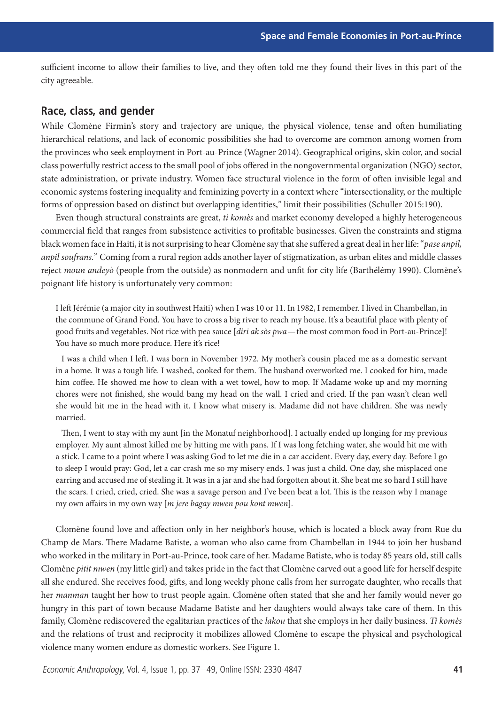sufficient income to allow their families to live, and they often told me they found their lives in this part of the city agreeable.

## **Race, class, and gender**

While Clomène Firmin's story and trajectory are unique, the physical violence, tense and often humiliating hierarchical relations, and lack of economic possibilities she had to overcome are common among women from the provinces who seek employment in Port-au-Prince (Wagner 2014). Geographical origins, skin color, and social class powerfully restrict access to the small pool of jobs offered in the nongovernmental organization (NGO) sector, state administration, or private industry. Women face structural violence in the form of often invisible legal and economic systems fostering inequality and feminizing poverty in a context where "intersectionality, or the multiple forms of oppression based on distinct but overlapping identities," limit their possibilities (Schuller 2015:190).

Even though structural constraints are great, *ti komès* and market economy developed a highly heterogeneous commercial field that ranges from subsistence activities to profitable businesses. Given the constraints and stigma black women face in Haiti, it is not surprising to hear Clomène say that she suffered a great deal in her life: "*pase anpil, anpil soufrans.*" Coming from a rural region adds another layer of stigmatization, as urban elites and middle classes reject *moun andeyò* (people from the outside) as nonmodern and unfit for city life (Barthélémy 1990). Clomène's poignant life history is unfortunately very common:

I left Jérémie (a major city in southwest Haiti) when I was 10 or 11. In 1982, I remember. I lived in Chambellan, in the commune of Grand Fond. You have to cross a big river to reach my house. It's a beautiful place with plenty of good fruits and vegetables. Not rice with pea sauce [*diri ak sòs pwa*— the most common food in Port-au-Prince]! You have so much more produce. Here it's rice!

I was a child when I left. I was born in November 1972. My mother's cousin placed me as a domestic servant in a home. It was a tough life. I washed, cooked for them. The husband overworked me. I cooked for him, made him coffee. He showed me how to clean with a wet towel, how to mop. If Madame woke up and my morning chores were not finished, she would bang my head on the wall. I cried and cried. If the pan wasn't clean well she would hit me in the head with it. I know what misery is. Madame did not have children. She was newly married.

Then, I went to stay with my aunt [in the Monatuf neighborhood]. I actually ended up longing for my previous employer. My aunt almost killed me by hitting me with pans. If I was long fetching water, she would hit me with a stick. I came to a point where I was asking God to let me die in a car accident. Every day, every day. Before I go to sleep I would pray: God, let a car crash me so my misery ends. I was just a child. One day, she misplaced one earring and accused me of stealing it. It was in a jar and she had forgotten about it. She beat me so hard I still have the scars. I cried, cried, cried. She was a savage person and I've been beat a lot. This is the reason why I manage my own affairs in my own way [*m jere bagay mwen pou kont mwen*].

Clomène found love and affection only in her neighbor's house, which is located a block away from Rue du Champ de Mars. There Madame Batiste, a woman who also came from Chambellan in 1944 to join her husband who worked in the military in Port-au-Prince, took care of her. Madame Batiste, who is today 85 years old, still calls Clomène *pitit mwen* (my little girl) and takes pride in the fact that Clomène carved out a good life for herself despite all she endured. She receives food, gifts, and long weekly phone calls from her surrogate daughter, who recalls that her *manman* taught her how to trust people again. Clomène often stated that she and her family would never go hungry in this part of town because Madame Batiste and her daughters would always take care of them. In this family, Clomène rediscovered the egalitarian practices of the *lakou* that she employs in her daily business. *Ti komès* and the relations of trust and reciprocity it mobilizes allowed Clomène to escape the physical and psychological violence many women endure as domestic workers. See Figure 1.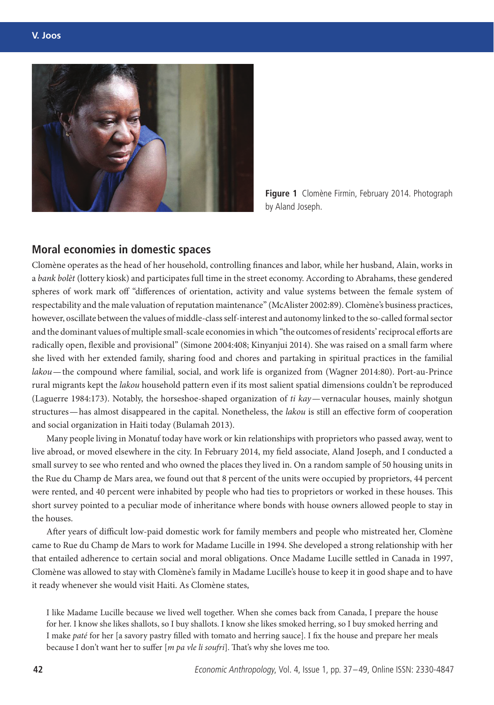

**Figure 1** Clomène Firmin, February 2014. Photograph by Aland Joseph.

# **Moral economies in domestic spaces**

Clomène operates as the head of her household, controlling finances and labor, while her husband, Alain, works in a *bank bolèt* (lottery kiosk) and participates full time in the street economy. According to Abrahams, these gendered spheres of work mark off "differences of orientation, activity and value systems between the female system of respectability and the male valuation of reputation maintenance" (McAlister 2002:89). Clomène's business practices, however, oscillate between the values of middle-class self-interest and autonomy linked to the so-called formal sector and the dominant values of multiple small-scale economies in which "the outcomes of residents' reciprocal efforts are radically open, flexible and provisional" (Simone 2004:408; Kinyanjui 2014). She was raised on a small farm where she lived with her extended family, sharing food and chores and partaking in spiritual practices in the familial *lakou*— the compound where familial, social, and work life is organized from (Wagner 2014:80). Port-au-Prince rural migrants kept the *lakou* household pattern even if its most salient spatial dimensions couldn't be reproduced (Laguerre 1984:173). Notably, the horseshoe-shaped organization of *ti kay*—vernacular houses, mainly shotgun structures—has almost disappeared in the capital. Nonetheless, the *lakou* is still an effective form of cooperation and social organization in Haiti today (Bulamah 2013).

Many people living in Monatuf today have work or kin relationships with proprietors who passed away, went to live abroad, or moved elsewhere in the city. In February 2014, my field associate, Aland Joseph, and I conducted a small survey to see who rented and who owned the places they lived in. On a random sample of 50 housing units in the Rue du Champ de Mars area, we found out that 8 percent of the units were occupied by proprietors, 44 percent were rented, and 40 percent were inhabited by people who had ties to proprietors or worked in these houses. This short survey pointed to a peculiar mode of inheritance where bonds with house owners allowed people to stay in the houses.

After years of difficult low-paid domestic work for family members and people who mistreated her, Clomène came to Rue du Champ de Mars to work for Madame Lucille in 1994. She developed a strong relationship with her that entailed adherence to certain social and moral obligations. Once Madame Lucille settled in Canada in 1997, Clomène was allowed to stay with Clomène's family in Madame Lucille's house to keep it in good shape and to have it ready whenever she would visit Haiti. As Clomène states,

I like Madame Lucille because we lived well together. When she comes back from Canada, I prepare the house for her. I know she likes shallots, so I buy shallots. I know she likes smoked herring, so I buy smoked herring and I make *paté* for her [a savory pastry filled with tomato and herring sauce]. I fix the house and prepare her meals because I don't want her to suffer [*m pa vle li soufri*]. That's why she loves me too.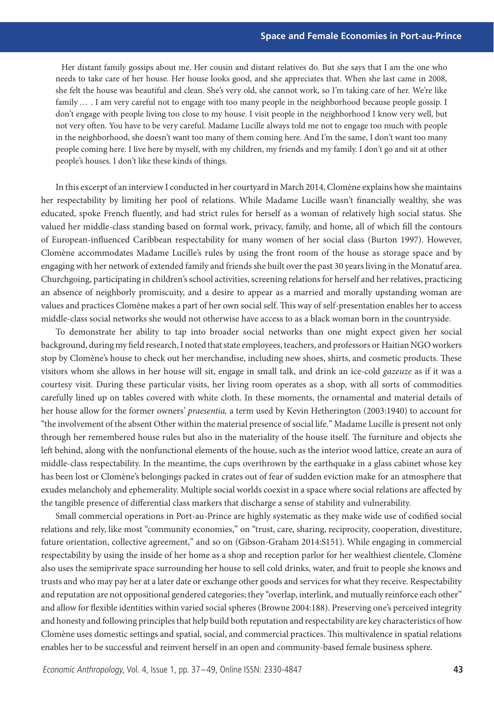Her distant family gossips about me. Her cousin and distant relatives do. But she says that I am the one who needs to take care of her house. Her house looks good, and she appreciates that. When she last came in 2008, she felt the house was beautiful and clean. She's very old, she cannot work, so I'm taking care of her. We're like family ... . I am very careful not to engage with too many people in the neighborhood because people gossip. I don't engage with people living too close to my house. I visit people in the neighborhood I know very well, but not very often. You have to be very careful. Madame Lucille always told me not to engage too much with people in the neighborhood, she doesn't want too many of them coming here. And I'm the same, I don't want too many people coming here. I live here by myself, with my children, my friends and my family. I don't go and sit at other people's houses. I don't like these kinds of things.

In this excerpt of an interview I conducted in her courtyard in March 2014, Clomène explains how she maintains her respectability by limiting her pool of relations. While Madame Lucille wasn't financially wealthy, she was educated, spoke French fluently, and had strict rules for herself as a woman of relatively high social status. She valued her middle-class standing based on formal work, privacy, family, and home, all of which fill the contours of European-influenced Caribbean respectability for many women of her social class (Burton 1997). However, Clomène accommodates Madame Lucille's rules by using the front room of the house as storage space and by engaging with her network of extended family and friends she built over the past 30 years living in the Monatuf area. Churchgoing, participating in children's school activities, screening relations for herself and her relatives, practicing an absence of neighborly promiscuity, and a desire to appear as a married and morally upstanding woman are values and practices Clomène makes a part of her own social self. This way of self-presentation enables her to access middle-class social networks she would not otherwise have access to as a black woman born in the countryside.

To demonstrate her ability to tap into broader social networks than one might expect given her social background, during my field research, I noted that state employees, teachers, and professors or Haitian NGO workers stop by Clomène's house to check out her merchandise, including new shoes, shirts, and cosmetic products. These visitors whom she allows in her house will sit, engage in small talk, and drink an ice-cold *gazeuze* as if it was a courtesy visit. During these particular visits, her living room operates as a shop, with all sorts of commodities carefully lined up on tables covered with white cloth. In these moments, the ornamental and material details of her house allow for the former owners' *praesentia,* a term used by Kevin Hetherington (2003:1940) to account for "the involvement of the absent Other within the material presence of social life." Madame Lucille is present not only through her remembered house rules but also in the materiality of the house itself. The furniture and objects she left behind, along with the nonfunctional elements of the house, such as the interior wood lattice, create an aura of middle-class respectability. In the meantime, the cups overthrown by the earthquake in a glass cabinet whose key has been lost or Clomène's belongings packed in crates out of fear of sudden eviction make for an atmosphere that exudes melancholy and ephemerality. Multiple social worlds coexist in a space where social relations are affected by the tangible presence of differential class markers that discharge a sense of stability and vulnerability.

Small commercial operations in Port-au-Prince are highly systematic as they make wide use of codified social relations and rely, like most "community economies," on "trust, care, sharing, reciprocity, cooperation, divestiture, future orientation, collective agreement," and so on (Gibson-Graham 2014:S151). While engaging in commercial respectability by using the inside of her home as a shop and reception parlor for her wealthiest clientele, Clomène also uses the semiprivate space surrounding her house to sell cold drinks, water, and fruit to people she knows and trusts and who may pay her at a later date or exchange other goods and services for what they receive. Respectability and reputation are not oppositional gendered categories; they "overlap, interlink, and mutually reinforce each other" and allow for flexible identities within varied social spheres (Browne 2004:188). Preserving one's perceived integrity and honesty and following principles that help build both reputation and respectability are key characteristics of how Clomène uses domestic settings and spatial, social, and commercial practices. This multivalence in spatial relations enables her to be successful and reinvent herself in an open and community-based female business sphere.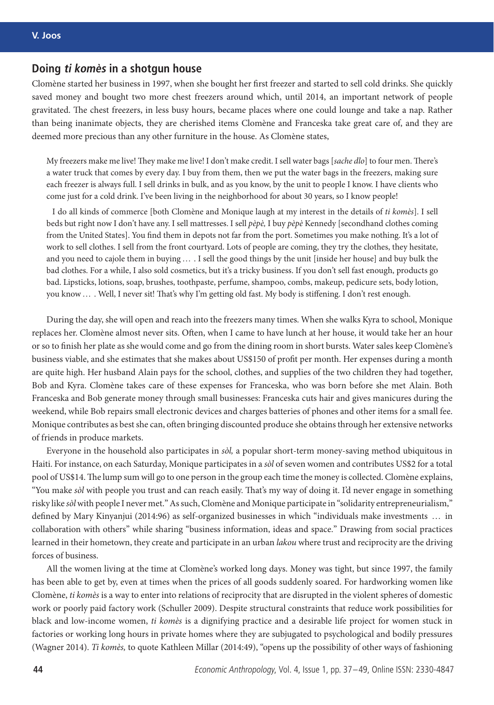## **Doing ti komès in a shotgun house**

Clomène started her business in 1997, when she bought her first freezer and started to sell cold drinks. She quickly saved money and bought two more chest freezers around which, until 2014, an important network of people gravitated. The chest freezers, in less busy hours, became places where one could lounge and take a nap. Rather than being inanimate objects, they are cherished items Clomène and Franceska take great care of, and they are deemed more precious than any other furniture in the house. As Clomène states,

My freezers make me live! They make me live! I don't make credit. I sell water bags [*sache dlo*] to four men. There's a water truck that comes by every day. I buy from them, then we put the water bags in the freezers, making sure each freezer is always full. I sell drinks in bulk, and as you know, by the unit to people I know. I have clients who come just for a cold drink. I've been living in the neighborhood for about 30 years, so I know people!

I do all kinds of commerce [both Clomène and Monique laugh at my interest in the details of *ti komès*]. I sell beds but right now I don't have any. I sell mattresses. I sell *pèpè,* I buy *pèpè* Kennedy [secondhand clothes coming from the United States]. You find them in depots not far from the port. Sometimes you make nothing. It's a lot of work to sell clothes. I sell from the front courtyard. Lots of people are coming, they try the clothes, they hesitate, and you need to cajole them in buying … . I sell the good things by the unit [inside her house] and buy bulk the bad clothes. For a while, I also sold cosmetics, but it's a tricky business. If you don't sell fast enough, products go bad. Lipsticks, lotions, soap, brushes, toothpaste, perfume, shampoo, combs, makeup, pedicure sets, body lotion, you know ... . Well, I never sit! That's why I'm getting old fast. My body is stiffening. I don't rest enough.

During the day, she will open and reach into the freezers many times. When she walks Kyra to school, Monique replaces her. Clomène almost never sits. Often, when I came to have lunch at her house, it would take her an hour or so to finish her plate as she would come and go from the dining room in short bursts. Water sales keep Clomène's business viable, and she estimates that she makes about US\$150 of profit per month. Her expenses during a month are quite high. Her husband Alain pays for the school, clothes, and supplies of the two children they had together, Bob and Kyra. Clomène takes care of these expenses for Franceska, who was born before she met Alain. Both Franceska and Bob generate money through small businesses: Franceska cuts hair and gives manicures during the weekend, while Bob repairs small electronic devices and charges batteries of phones and other items for a small fee. Monique contributes as best she can, often bringing discounted produce she obtains through her extensive networks of friends in produce markets.

Everyone in the household also participates in *sòl,* a popular short-term money-saving method ubiquitous in Haiti. For instance, on each Saturday, Monique participates in a *sòl* of seven women and contributes US\$2 for a total pool of US\$14.The lump sum will go to one person in the group each time the money is collected. Clomène explains, "You make *sòl* with people you trust and can reach easily. That's my way of doing it. I'd never engage in something risky like *sòl*with people I never met." As such, Clomène and Monique participate in "solidarity entrepreneurialism," defined by Mary Kinyanjui (2014:96) as self-organized businesses in which "individuals make investments … in collaboration with others" while sharing "business information, ideas and space." Drawing from social practices learned in their hometown, they create and participate in an urban *lakou* where trust and reciprocity are the driving forces of business.

All the women living at the time at Clomène's worked long days. Money was tight, but since 1997, the family has been able to get by, even at times when the prices of all goods suddenly soared. For hardworking women like Clomène, *ti komès* is a way to enter into relations of reciprocity that are disrupted in the violent spheres of domestic work or poorly paid factory work (Schuller 2009). Despite structural constraints that reduce work possibilities for black and low-income women, *ti komès* is a dignifying practice and a desirable life project for women stuck in factories or working long hours in private homes where they are subjugated to psychological and bodily pressures (Wagner 2014). *Ti komès,* to quote Kathleen Millar (2014:49), "opens up the possibility of other ways of fashioning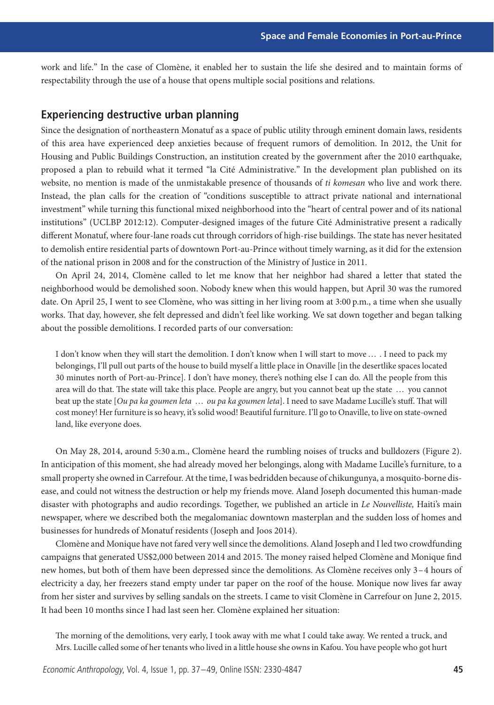work and life." In the case of Clomène, it enabled her to sustain the life she desired and to maintain forms of respectability through the use of a house that opens multiple social positions and relations.

### **Experiencing destructive urban planning**

Since the designation of northeastern Monatuf as a space of public utility through eminent domain laws, residents of this area have experienced deep anxieties because of frequent rumors of demolition. In 2012, the Unit for Housing and Public Buildings Construction, an institution created by the government after the 2010 earthquake, proposed a plan to rebuild what it termed "la Cité Administrative." In the development plan published on its website, no mention is made of the unmistakable presence of thousands of *ti komesan* who live and work there. Instead, the plan calls for the creation of "conditions susceptible to attract private national and international investment" while turning this functional mixed neighborhood into the "heart of central power and of its national institutions" (UCLBP 2012:12). Computer-designed images of the future Cité Administrative present a radically different Monatuf, where four-lane roads cut through corridors of high-rise buildings. The state has never hesitated to demolish entire residential parts of downtown Port-au-Prince without timely warning, as it did for the extension of the national prison in 2008 and for the construction of the Ministry of Justice in 2011.

On April 24, 2014, Clomène called to let me know that her neighbor had shared a letter that stated the neighborhood would be demolished soon. Nobody knew when this would happen, but April 30 was the rumored date. On April 25, I went to see Clomène, who was sitting in her living room at 3:00 p.m., a time when she usually works. That day, however, she felt depressed and didn't feel like working. We sat down together and began talking about the possible demolitions. I recorded parts of our conversation:

I don't know when they will start the demolition. I don't know when I will start to move… . I need to pack my belongings, I'll pull out parts of the house to build myself a little place in Onaville [in the desertlike spaces located 30 minutes north of Port-au-Prince]. I don't have money, there's nothing else I can do. All the people from this area will do that. The state will take this place. People are angry, but you cannot beat up the state … you cannot beat up the state [*Ou pa ka goumen leta* … *ou pa ka goumen leta*]. I need to save Madame Lucille's stuff. That will cost money! Her furniture is so heavy, it's solid wood! Beautiful furniture. I'll go to Onaville, to live on state-owned land, like everyone does.

On May 28, 2014, around 5:30 a.m., Clomène heard the rumbling noises of trucks and bulldozers (Figure 2). In anticipation of this moment, she had already moved her belongings, along with Madame Lucille's furniture, to a small property she owned in Carrefour. At the time, I was bedridden because of chikungunya, a mosquito-borne disease, and could not witness the destruction or help my friends move. Aland Joseph documented this human-made disaster with photographs and audio recordings. Together, we published an article in *Le Nouvelliste,* Haiti's main newspaper, where we described both the megalomaniac downtown masterplan and the sudden loss of homes and businesses for hundreds of Monatuf residents (Joseph and Joos 2014).

Clomène and Monique have not fared very well since the demolitions. Aland Joseph and I led two crowdfunding campaigns that generated US\$2,000 between 2014 and 2015. The money raised helped Clomène and Monique find new homes, but both of them have been depressed since the demolitions. As Clomène receives only 3–4 hours of electricity a day, her freezers stand empty under tar paper on the roof of the house. Monique now lives far away from her sister and survives by selling sandals on the streets. I came to visit Clomène in Carrefour on June 2, 2015. It had been 10 months since I had last seen her. Clomène explained her situation:

The morning of the demolitions, very early, I took away with me what I could take away. We rented a truck, and Mrs. Lucille called some of her tenants who lived in a little house she owns in Kafou. You have people who got hurt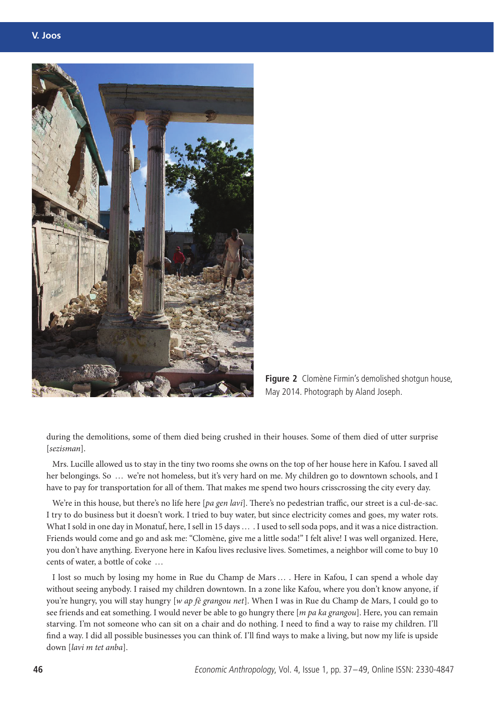

**Figure 2** Clomène Firmin's demolished shotgun house, May 2014. Photograph by Aland Joseph.

during the demolitions, some of them died being crushed in their houses. Some of them died of utter surprise [*sezisman*].

Mrs. Lucille allowed us to stay in the tiny two rooms she owns on the top of her house here in Kafou. I saved all her belongings. So ... we're not homeless, but it's very hard on me. My children go to downtown schools, and I have to pay for transportation for all of them. That makes me spend two hours crisscrossing the city every day.

We're in this house, but there's no life here [*pa gen lavi*]. There's no pedestrian traffic, our street is a cul-de-sac. I try to do business but it doesn't work. I tried to buy water, but since electricity comes and goes, my water rots. What I sold in one day in Monatuf, here, I sell in 15 days… . I used to sell soda pops, and it was a nice distraction. Friends would come and go and ask me: "Clomène, give me a little soda!" I felt alive! I was well organized. Here, you don't have anything. Everyone here in Kafou lives reclusive lives. Sometimes, a neighbor will come to buy 10 cents of water, a bottle of coke …

I lost so much by losing my home in Rue du Champ de Mars… . Here in Kafou, I can spend a whole day without seeing anybody. I raised my children downtown. In a zone like Kafou, where you don't know anyone, if you're hungry, you will stay hungry [*w ap fè grangou net*]. When I was in Rue du Champ de Mars, I could go to see friends and eat something. I would never be able to go hungry there [*m pa ka grangou*]. Here, you can remain starving. I'm not someone who can sit on a chair and do nothing. I need to find a way to raise my children. I'll find a way. I did all possible businesses you can think of. I'll find ways to make a living, but now my life is upside down [*lavi m tet anba*].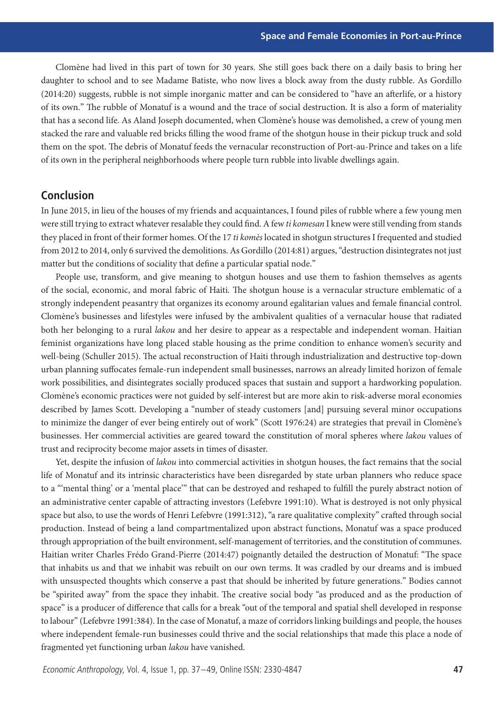Clomène had lived in this part of town for 30 years. She still goes back there on a daily basis to bring her daughter to school and to see Madame Batiste, who now lives a block away from the dusty rubble. As Gordillo (2014:20) suggests, rubble is not simple inorganic matter and can be considered to "have an afterlife, or a history of its own." The rubble of Monatuf is a wound and the trace of social destruction. It is also a form of materiality that has a second life. As Aland Joseph documented, when Clomène's house was demolished, a crew of young men stacked the rare and valuable red bricks filling the wood frame of the shotgun house in their pickup truck and sold them on the spot. The debris of Monatuf feeds the vernacular reconstruction of Port-au-Prince and takes on a life of its own in the peripheral neighborhoods where people turn rubble into livable dwellings again.

# **Conclusion**

In June 2015, in lieu of the houses of my friends and acquaintances, I found piles of rubble where a few young men were still trying to extract whatever resalable they could find. A few *ti komesan* I knew were still vending from stands they placed in front of their former homes. Of the 17 *ti komès* located in shotgun structures I frequented and studied from 2012 to 2014, only 6 survived the demolitions. As Gordillo (2014:81) argues, "destruction disintegrates not just matter but the conditions of sociality that define a particular spatial node."

People use, transform, and give meaning to shotgun houses and use them to fashion themselves as agents of the social, economic, and moral fabric of Haiti. The shotgun house is a vernacular structure emblematic of a strongly independent peasantry that organizes its economy around egalitarian values and female financial control. Clomène's businesses and lifestyles were infused by the ambivalent qualities of a vernacular house that radiated both her belonging to a rural *lakou* and her desire to appear as a respectable and independent woman. Haitian feminist organizations have long placed stable housing as the prime condition to enhance women's security and well-being (Schuller 2015). The actual reconstruction of Haiti through industrialization and destructive top-down urban planning suffocates female-run independent small businesses, narrows an already limited horizon of female work possibilities, and disintegrates socially produced spaces that sustain and support a hardworking population. Clomène's economic practices were not guided by self-interest but are more akin to risk-adverse moral economies described by James Scott. Developing a "number of steady customers [and] pursuing several minor occupations to minimize the danger of ever being entirely out of work" (Scott 1976:24) are strategies that prevail in Clomène's businesses. Her commercial activities are geared toward the constitution of moral spheres where *lakou* values of trust and reciprocity become major assets in times of disaster.

Yet, despite the infusion of *lakou* into commercial activities in shotgun houses, the fact remains that the social life of Monatuf and its intrinsic characteristics have been disregarded by state urban planners who reduce space to a "'mental thing' or a 'mental place'" that can be destroyed and reshaped to fulfill the purely abstract notion of an administrative center capable of attracting investors (Lefebvre 1991:10). What is destroyed is not only physical space but also, to use the words of Henri Lefebvre (1991:312), "a rare qualitative complexity" crafted through social production. Instead of being a land compartmentalized upon abstract functions, Monatuf was a space produced through appropriation of the built environment, self-management of territories, and the constitution of communes. Haitian writer Charles Frédo Grand-Pierre (2014:47) poignantly detailed the destruction of Monatuf: "The space that inhabits us and that we inhabit was rebuilt on our own terms. It was cradled by our dreams and is imbued with unsuspected thoughts which conserve a past that should be inherited by future generations." Bodies cannot be "spirited away" from the space they inhabit. The creative social body "as produced and as the production of space" is a producer of difference that calls for a break "out of the temporal and spatial shell developed in response to labour" (Lefebvre 1991:384). In the case of Monatuf, a maze of corridors linking buildings and people, the houses where independent female-run businesses could thrive and the social relationships that made this place a node of fragmented yet functioning urban *lakou* have vanished.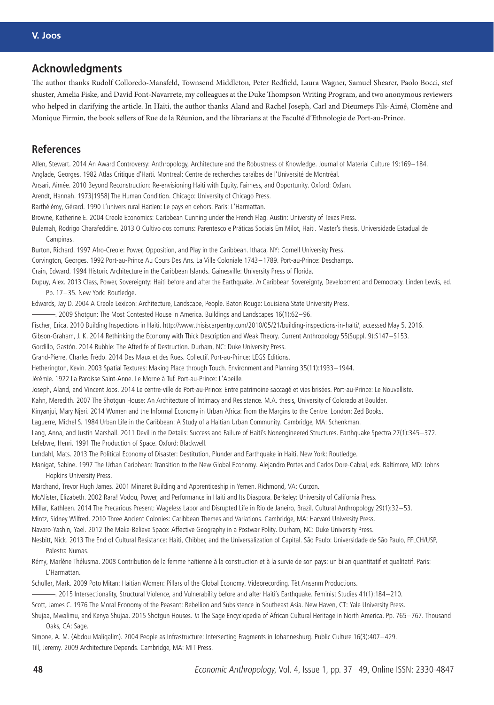# **Acknowledgments**

The author thanks Rudolf Colloredo-Mansfeld, Townsend Middleton, Peter Redfield, Laura Wagner, Samuel Shearer, Paolo Bocci, stef shuster, Amelia Fiske, and David Font-Navarrete, my colleagues at the Duke Thompson Writing Program, and two anonymous reviewers who helped in clarifying the article. In Haiti, the author thanks Aland and Rachel Joseph, Carl and Dieumeps Fils-Aimé, Clomène and Monique Firmin, the book sellers of Rue de la Réunion, and the librarians at the Faculté d'Ethnologie de Port-au-Prince.

## **References**

Allen, Stewart. 2014 An Award Controversy: Anthropology, Architecture and the Robustness of Knowledge. Journal of Material Culture 19:169–184. Anglade, Georges. 1982 Atlas Critique d'Haïti. Montreal: Centre de recherches caraïbes de l'Université de Montréal.

Ansari, Aimée. 2010 Beyond Reconstruction: Re-envisioning Haiti with Equity, Fairness, and Opportunity. Oxford: Oxfam.

Arendt, Hannah. 1973[1958] The Human Condition. Chicago: University of Chicago Press.

Barthélémy, Gérard. 1990 L'univers rural Haïtien: Le pays en dehors. Paris: L'Harmattan.

Browne, Katherine E. 2004 Creole Economics: Caribbean Cunning under the French Flag. Austin: University of Texas Press.

Bulamah, Rodrigo Charafeddine. 2013 O Cultivo dos comuns: Parentesco e Práticas Sociais Em Milot, Haiti. Master's thesis, Universidade Estadual de Campinas.

Burton, Richard. 1997 Afro-Creole: Power, Opposition, and Play in the Caribbean. Ithaca, NY: Cornell University Press.

Corvington, Georges. 1992 Port-au-Prince Au Cours Des Ans. La Ville Coloniale 1743–1789. Port-au-Prince: Deschamps.

Crain, Edward. 1994 Historic Architecture in the Caribbean Islands. Gainesville: University Press of Florida.

Dupuy, Alex. 2013 Class, Power, Sovereignty: Haiti before and after the Earthquake. In Caribbean Sovereignty, Development and Democracy. Linden Lewis, ed. Pp. 17–35. New York: Routledge.

Edwards, Jay D. 2004 A Creole Lexicon: Architecture, Landscape, People. Baton Rouge: Louisiana State University Press.

. 2009 Shotgun: The Most Contested House in America. Buildings and Landscapes 16(1):62–96.

Fischer, Erica. 2010 Building Inspections in Haiti. [http://www.thisiscarpentry.com/2010/05/21/building-inspections-in-haiti/,](http://www.thisiscarpentry.com/2010/05/21/building-inspections-in-haiti/) accessed May 5, 2016.

Gibson-Graham, J. K. 2014 Rethinking the Economy with Thick Description and Weak Theory. Current Anthropology 55(Suppl. 9):S147–S153.

Gordillo, Gastón. 2014 Rubble: The Afterlife of Destruction. Durham, NC: Duke University Press.

Grand-Pierre, Charles Frédo. 2014 Des Maux et des Rues. Collectif. Port-au-Prince: LEGS Editions.

Hetherington, Kevin. 2003 Spatial Textures: Making Place through Touch. Environment and Planning 35(11):1933–1944.

Jérémie. 1922 La Paroisse Saint-Anne. Le Morne à Tuf. Port-au-Prince: L'Abeille.

Joseph, Aland, and Vincent Joos. 2014 Le centre-ville de Port-au-Prince: Entre patrimoine saccagé et vies brisées. Port-au-Prince: Le Nouvelliste.

Kahn, Meredith. 2007 The Shotgun House: An Architecture of Intimacy and Resistance. M.A. thesis, University of Colorado at Boulder.

Kinyanjui, Mary Njeri. 2014 Women and the Informal Economy in Urban Africa: From the Margins to the Centre. London: Zed Books.

Laguerre, Michel S. 1984 Urban Life in the Caribbean: A Study of a Haitian Urban Community. Cambridge, MA: Schenkman.

Lang, Anna, and Justin Marshall. 2011 Devil in the Details: Success and Failure of Haiti's Nonengineered Structures. Earthquake Spectra 27(1):345–372. Lefebvre, Henri. 1991 The Production of Space. Oxford: Blackwell.

Lundahl, Mats. 2013 The Political Economy of Disaster: Destitution, Plunder and Earthquake in Haiti. New York: Routledge.

Manigat, Sabine. 1997 The Urban Caribbean: Transition to the New Global Economy. Alejandro Portes and Carlos Dore-Cabral, eds. Baltimore, MD: Johns Hopkins University Press.

Marchand, Trevor Hugh James. 2001 Minaret Building and Apprenticeship in Yemen. Richmond, VA: Curzon.

McAlister, Elizabeth. 2002 Rara! Vodou, Power, and Performance in Haiti and Its Diaspora. Berkeley: University of California Press.

Millar, Kathleen. 2014 The Precarious Present: Wageless Labor and Disrupted Life in Rio de Janeiro, Brazil. Cultural Anthropology 29(1):32–53.

Mintz, Sidney Wilfred. 2010 Three Ancient Colonies: Caribbean Themes and Variations. Cambridge, MA: Harvard University Press.

Navaro-Yashin, Yael. 2012 The Make-Believe Space: Affective Geography in a Postwar Polity. Durham, NC: Duke University Press.

Nesbitt, Nick. 2013 The End of Cultural Resistance: Haiti, Chibber, and the Universalization of Capital. São Paulo: Universidade de São Paulo, FFLCH/USP, Palestra Numas.

Rémy, Marlène Thélusma. 2008 Contribution de la femme haïtienne à la construction et à la survie de son pays: un bilan quantitatif et qualitatif. Paris: L'Harmattan.

Schuller, Mark. 2009 Poto Mitan: Haitian Women: Pillars of the Global Economy. Videorecording. Tèt Ansanm Productions.

. 2015 Intersectionality, Structural Violence, and Vulnerability before and after Haiti's Earthquake. Feminist Studies 41(1):184–210.

Scott, James C. 1976 The Moral Economy of the Peasant: Rebellion and Subsistence in Southeast Asia. New Haven, CT: Yale University Press.

Shujaa, Mwalimu, and Kenya Shujaa. 2015 Shotgun Houses. In The Sage Encyclopedia of African Cultural Heritage in North America. Pp. 765-767. Thousand Oaks, CA: Sage.

Simone, A. M. (Abdou Maliqalim). 2004 People as Infrastructure: Intersecting Fragments in Johannesburg. Public Culture 16(3):407–429. Till, Jeremy. 2009 Architecture Depends. Cambridge, MA: MIT Press.